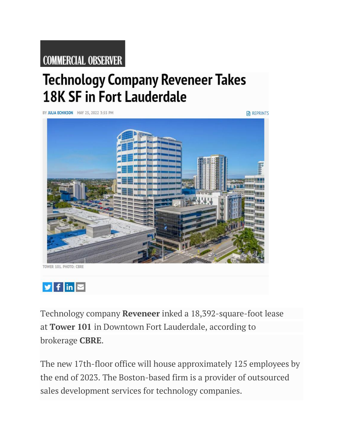## **COMMERCIAL OBSERVER**

## **Technology Company Reveneer Takes 18K SF in Fort Lauderdale**

BY JULIA ECHIKSON MAY 25, 2022 3:55 PM

**REPRINTS** 





Technology company **Reveneer** inked a 18,392-square-foot lease at **Tower 101** in Downtown Fort Lauderdale, according to brokerage **CBRE**.

The new 17th-floor office will house approximately 125 employees by the end of 2023. The Boston-based firm is a provider of outsourced sales development services for technology companies.